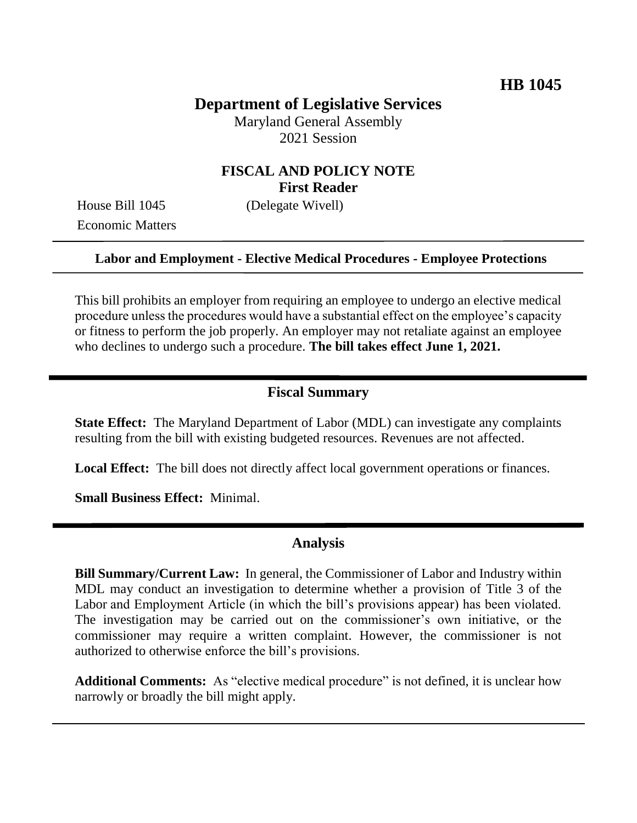## **Department of Legislative Services**

Maryland General Assembly 2021 Session

## **FISCAL AND POLICY NOTE First Reader**

Economic Matters

House Bill 1045 (Delegate Wivell)

### **Labor and Employment - Elective Medical Procedures - Employee Protections**

This bill prohibits an employer from requiring an employee to undergo an elective medical procedure unless the procedures would have a substantial effect on the employee's capacity or fitness to perform the job properly. An employer may not retaliate against an employee who declines to undergo such a procedure. **The bill takes effect June 1, 2021.** 

### **Fiscal Summary**

**State Effect:** The Maryland Department of Labor (MDL) can investigate any complaints resulting from the bill with existing budgeted resources. Revenues are not affected.

Local Effect: The bill does not directly affect local government operations or finances.

**Small Business Effect:** Minimal.

#### **Analysis**

**Bill Summary/Current Law:** In general, the Commissioner of Labor and Industry within MDL may conduct an investigation to determine whether a provision of Title 3 of the Labor and Employment Article (in which the bill's provisions appear) has been violated. The investigation may be carried out on the commissioner's own initiative, or the commissioner may require a written complaint. However, the commissioner is not authorized to otherwise enforce the bill's provisions.

**Additional Comments:** As "elective medical procedure" is not defined, it is unclear how narrowly or broadly the bill might apply.